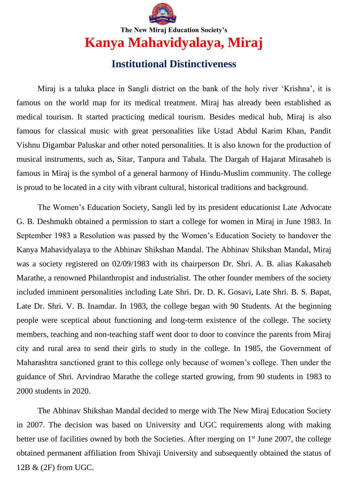

## **The New Miraj Education Society's Kanya Mahavidyalaya, Miraj**

## **Institutional Distinctiveness**

Miraj is a taluka place in Sangli district on the bank of the holy river 'Krishna', it is famous on the world map for its medical treatment. Miraj has already been established as medical tourism. It started practicing medical tourism. Besides medical hub, Miraj is also famous for classical music with great personalities like Ustad Abdul Karim Khan, Pandit Vishnu Digambar Paluskar and other noted personalities. It is also known for the production of musical instruments, such as, Sitar, Tanpura and Tabala. The Dargah of Hajarat Mirasaheb is famous in Miraj is the symbol of a general harmony of Hindu-Muslim community. The college is proud to be located in a city with vibrant cultural, historical traditions and background.

The Women's Education Society, Sangli led by its president educationist Late Advocate G. B. Deshmukh obtained a permission to start a college for women in Miraj in June 1983. In September 1983 a Resolution was passed by the Women's Education Society to handover the Kanya Mahavidyalaya to the Abhinav Shikshan Mandal. The Abhinav Shikshan Mandal, Miraj was a society registered on 02/09/1983 with its chairperson Dr. Shri. A. B. alias Kakasaheb Marathe, a renowned Philanthropist and industrialist. The other founder members of the society included imminent personalities including Late Shri. Dr. D. K. Gosavi, Late Shri. B. S. Bapat, Late Dr. Shri. V. B. Inamdar. In 1983, the college began with 90 Students. At the beginning people were sceptical about functioning and long-term existence of the college. The society members, teaching and non-teaching staff went door to door to convince the parents from Miraj city and rural area to send their girls to study in the college. In 1985, the Government of Maharashtra sanctioned grant to this college only because of women's college. Then under the guidance of Shri. Arvindrao Marathe the college started growing, from 90 students in 1983 to 2000 students in 2020.

The Abhinav Shikshan Mandal decided to merge with The New Miraj Education Society in 2007. The decision was based on University and UGC requirements along with making better use of facilities owned by both the Societies. After merging on 1<sup>st</sup> June 2007, the college obtained permanent affiliation from Shivaji University and subsequently obtained the status of 12B & (2F) from UGC.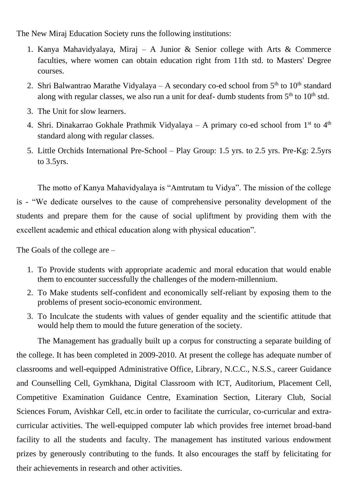The New Miraj Education Society runs the following institutions:

- 1. Kanya Mahavidyalaya, Miraj A Junior & Senior college with Arts & Commerce faculties, where women can obtain education right from 11th std. to Masters' Degree courses.
- 2. Shri Balwantrao Marathe Vidyalaya A secondary co-ed school from  $5<sup>th</sup>$  to  $10<sup>th</sup>$  standard along with regular classes, we also run a unit for deaf- dumb students from  $5<sup>th</sup>$  to  $10<sup>th</sup>$  std.
- 3. The Unit for slow learners.
- 4. Shri. Dinakarrao Gokhale Prathmik Vidyalaya A primary co-ed school from  $1<sup>st</sup>$  to  $4<sup>th</sup>$ standard along with regular classes.
- 5. Little Orchids International Pre-School Play Group: 1.5 yrs. to 2.5 yrs. Pre-Kg: 2.5yrs to 3.5yrs.

The motto of Kanya Mahavidyalaya is "Amtrutam tu Vidya". The mission of the college is - "We dedicate ourselves to the cause of comprehensive personality development of the students and prepare them for the cause of social upliftment by providing them with the excellent academic and ethical education along with physical education".

The Goals of the college are –

- 1. To Provide students with appropriate academic and moral education that would enable them to encounter successfully the challenges of the modern-millennium.
- 2. To Make students self-confident and economically self-reliant by exposing them to the problems of present socio-economic environment.
- 3. To Inculcate the students with values of gender equality and the scientific attitude that would help them to mould the future generation of the society.

The Management has gradually built up a corpus for constructing a separate building of the college. It has been completed in 2009-2010. At present the college has adequate number of classrooms and well-equipped Administrative Office, Library, N.C.C., N.S.S., career Guidance and Counselling Cell, Gymkhana, Digital Classroom with ICT, Auditorium, Placement Cell, Competitive Examination Guidance Centre, Examination Section, Literary Club, Social Sciences Forum, Avishkar Cell, etc.in order to facilitate the curricular, co-curricular and extracurricular activities. The well-equipped computer lab which provides free internet broad-band facility to all the students and faculty. The management has instituted various endowment prizes by generously contributing to the funds. It also encourages the staff by felicitating for their achievements in research and other activities.